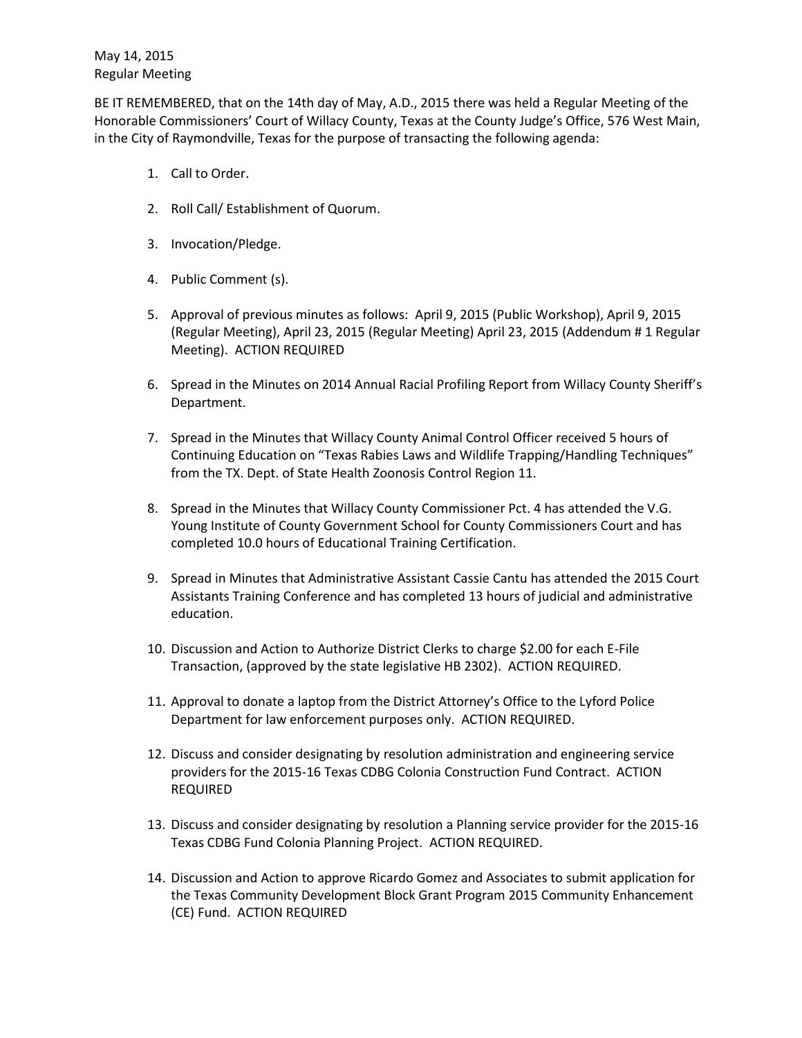BE IT REMEMBERED, that on the 14th day of May, A.D., 2015 there was held a Regular Meeting of the Honorable Commissioners' Court of Willacy County, Texas at the County Judge's Office, 576 West Main, in the City of Raymondville, Texas for the purpose of transacting the following agenda:

- 1. Call to Order.
- 2. Roll Call/ Establishment of Quorum.
- 3. Invocation/Pledge.
- 4. Public Comment (s).
- 5. Approval of previous minutes as follows: April 9, 2015 (Public Workshop), April 9, 2015 (Regular Meeting), April 23, 2015 (Regular Meeting) April 23, 2015 (Addendum # 1 Regular Meeting). ACTION REQUIRED
- 6. Spread in the Minutes on 2014 Annual Racial Profiling Report from Willacy County Sheriff's Department.
- 7. Spread in the Minutes that Willacy County Animal Control Officer received 5 hours of Continuing Education on "Texas Rabies Laws and Wildlife Trapping/Handling Techniques" from the TX. Dept. of State Health Zoonosis Control Region 11.
- 8. Spread in the Minutes that Willacy County Commissioner Pct. 4 has attended the V.G. Young Institute of County Government School for County Commissioners Court and has completed 10.0 hours of Educational Training Certification.
- 9. Spread in Minutes that Administrative Assistant Cassie Cantu has attended the 2015 Court Assistants Training Conference and has completed 13 hours of judicial and administrative education.
- 10. Discussion and Action to Authorize District Clerks to charge \$2.00 for each E-File Transaction, (approved by the state legislative HB 2302). ACTION REQUIRED.
- 11. Approval to donate a laptop from the District Attorney's Office to the Lyford Police Department for law enforcement purposes only. ACTION REQUIRED.
- 12. Discuss and consider designating by resolution administration and engineering service providers for the 2015-16 Texas CDBG Colonia Construction Fund Contract. ACTION REQUIRED
- 13. Discuss and consider designating by resolution a Planning service provider for the 2015-16 Texas CDBG Fund Colonia Planning Project. ACTION REQUIRED.
- 14. Discussion and Action to approve Ricardo Gomez and Associates to submit application for the Texas Community Development Block Grant Program 2015 Community Enhancement (CE) Fund. ACTION REQUIRED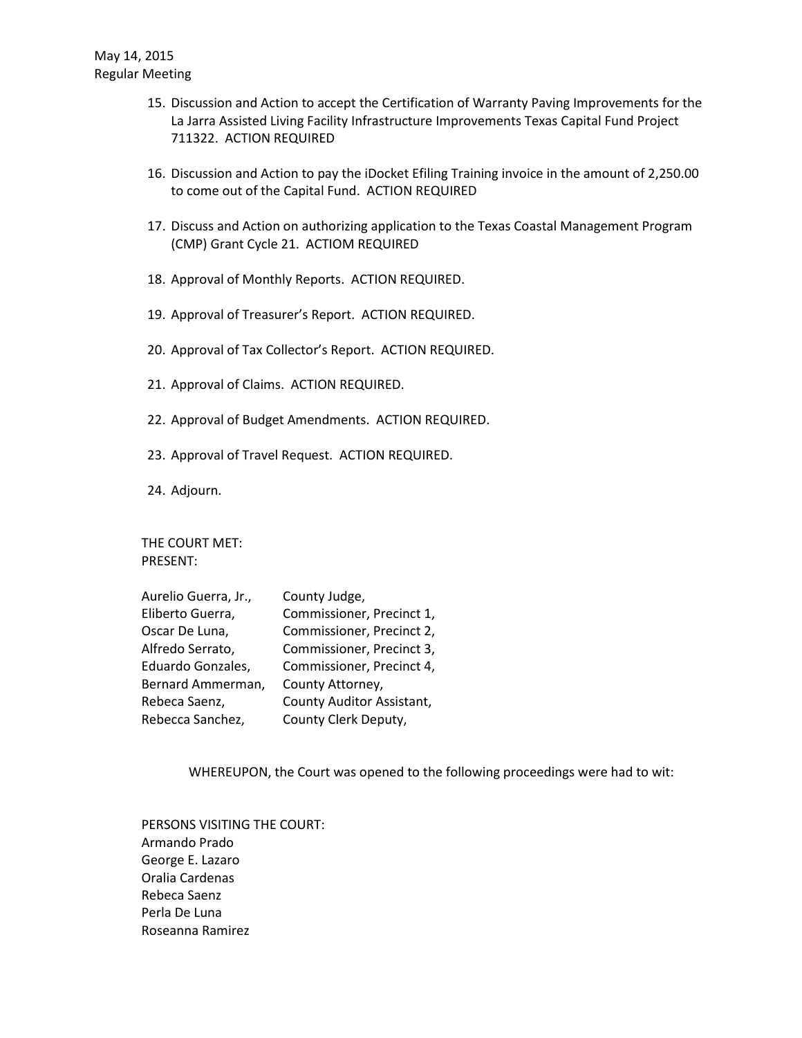- 15. Discussion and Action to accept the Certification of Warranty Paving Improvements for the La Jarra Assisted Living Facility Infrastructure Improvements Texas Capital Fund Project 711322. ACTION REQUIRED
- 16. Discussion and Action to pay the iDocket Efiling Training invoice in the amount of 2,250.00 to come out of the Capital Fund. ACTION REQUIRED
- 17. Discuss and Action on authorizing application to the Texas Coastal Management Program (CMP) Grant Cycle 21. ACTIOM REQUIRED
- 18. Approval of Monthly Reports. ACTION REQUIRED.
- 19. Approval of Treasurer's Report. ACTION REQUIRED.
- 20. Approval of Tax Collector's Report. ACTION REQUIRED.
- 21. Approval of Claims. ACTION REQUIRED.
- 22. Approval of Budget Amendments. ACTION REQUIRED.
- 23. Approval of Travel Request. ACTION REQUIRED.
- 24. Adjourn.

THE COURT MET: PRESENT:

| Aurelio Guerra, Jr., | County Judge,             |
|----------------------|---------------------------|
| Eliberto Guerra,     | Commissioner, Precinct 1, |
| Oscar De Luna,       | Commissioner, Precinct 2, |
| Alfredo Serrato,     | Commissioner, Precinct 3, |
| Eduardo Gonzales,    | Commissioner, Precinct 4, |
| Bernard Ammerman,    | County Attorney,          |
| Rebeca Saenz,        | County Auditor Assistant, |
| Rebecca Sanchez,     | County Clerk Deputy,      |

WHEREUPON, the Court was opened to the following proceedings were had to wit:

PERSONS VISITING THE COURT: Armando Prado George E. Lazaro Oralia Cardenas Rebeca Saenz Perla De Luna Roseanna Ramirez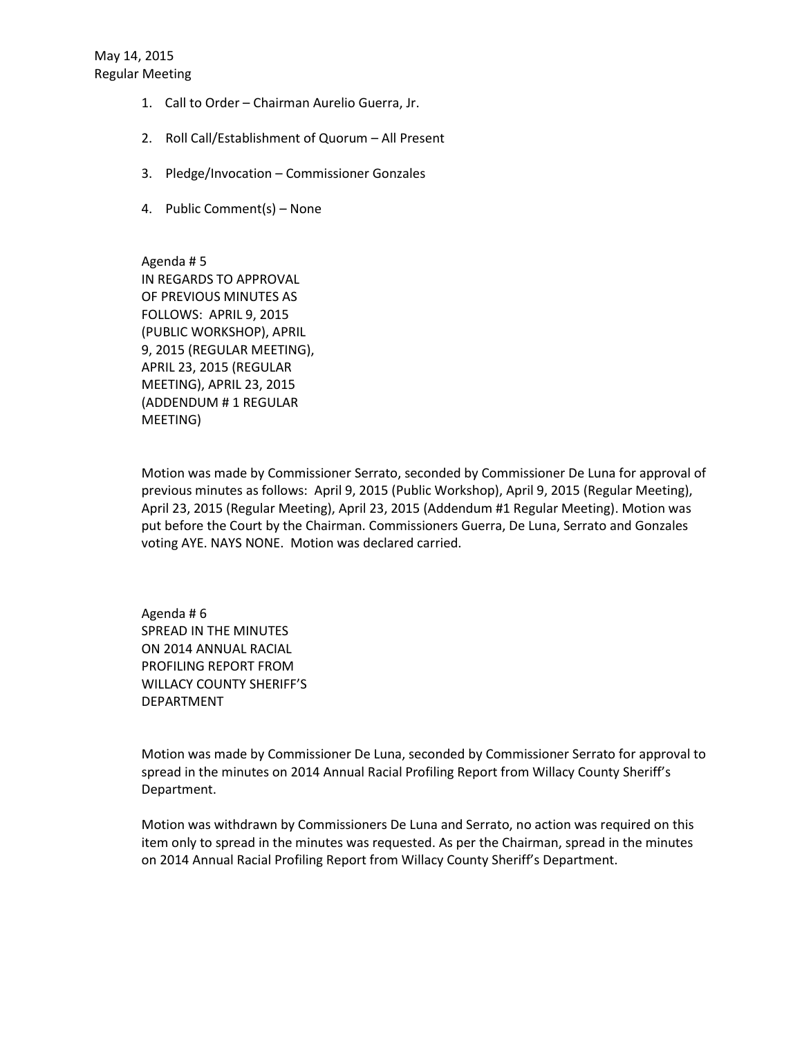- 1. Call to Order Chairman Aurelio Guerra, Jr.
- 2. Roll Call/Establishment of Quorum All Present
- 3. Pledge/Invocation Commissioner Gonzales
- 4. Public Comment(s) None

Agenda # 5 IN REGARDS TO APPROVAL OF PREVIOUS MINUTES AS FOLLOWS: APRIL 9, 2015 (PUBLIC WORKSHOP), APRIL 9, 2015 (REGULAR MEETING), APRIL 23, 2015 (REGULAR MEETING), APRIL 23, 2015 (ADDENDUM # 1 REGULAR MEETING)

Motion was made by Commissioner Serrato, seconded by Commissioner De Luna for approval of previous minutes as follows: April 9, 2015 (Public Workshop), April 9, 2015 (Regular Meeting), April 23, 2015 (Regular Meeting), April 23, 2015 (Addendum #1 Regular Meeting). Motion was put before the Court by the Chairman. Commissioners Guerra, De Luna, Serrato and Gonzales voting AYE. NAYS NONE. Motion was declared carried.

Agenda # 6 SPREAD IN THE MINUTES ON 2014 ANNUAL RACIAL PROFILING REPORT FROM WILLACY COUNTY SHERIFF'S DEPARTMENT

Motion was made by Commissioner De Luna, seconded by Commissioner Serrato for approval to spread in the minutes on 2014 Annual Racial Profiling Report from Willacy County Sheriff's Department.

Motion was withdrawn by Commissioners De Luna and Serrato, no action was required on this item only to spread in the minutes was requested. As per the Chairman, spread in the minutes on 2014 Annual Racial Profiling Report from Willacy County Sheriff's Department.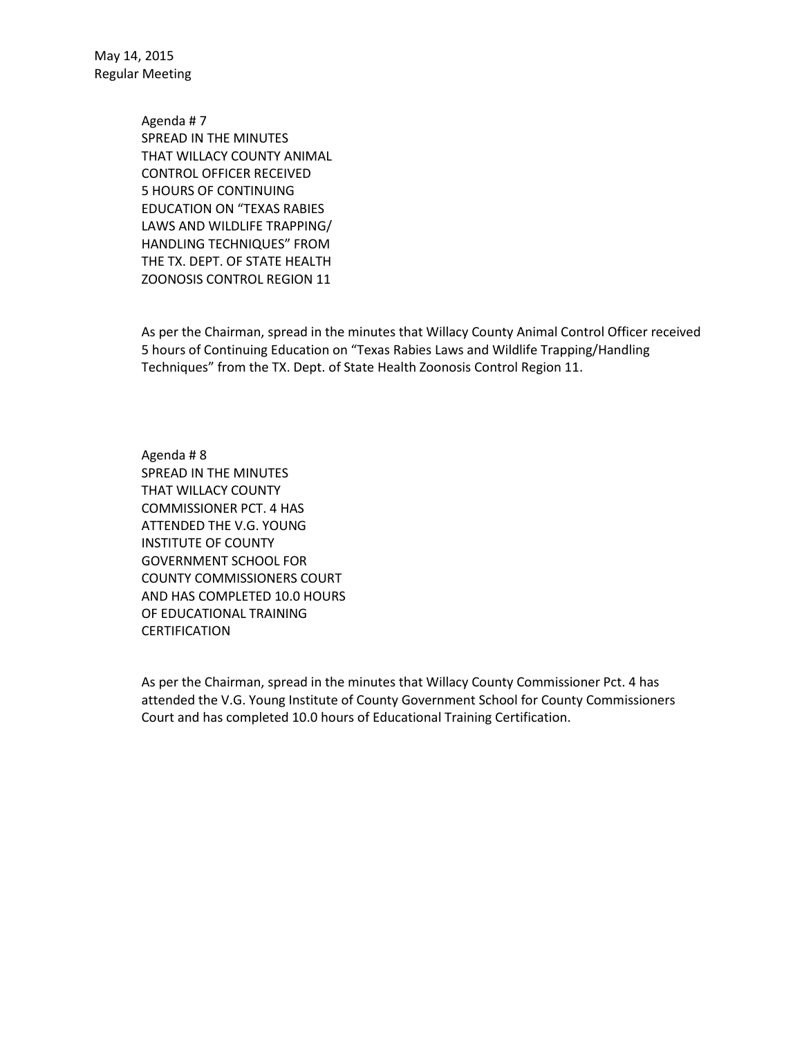> Agenda # 7 SPREAD IN THE MINUTES THAT WILLACY COUNTY ANIMAL CONTROL OFFICER RECEIVED 5 HOURS OF CONTINUING EDUCATION ON "TEXAS RABIES LAWS AND WILDLIFE TRAPPING/ HANDLING TECHNIQUES" FROM THE TX. DEPT. OF STATE HEALTH ZOONOSIS CONTROL REGION 11

As per the Chairman, spread in the minutes that Willacy County Animal Control Officer received 5 hours of Continuing Education on "Texas Rabies Laws and Wildlife Trapping/Handling Techniques" from the TX. Dept. of State Health Zoonosis Control Region 11.

Agenda # 8 SPREAD IN THE MINUTES THAT WILLACY COUNTY COMMISSIONER PCT. 4 HAS ATTENDED THE V.G. YOUNG INSTITUTE OF COUNTY GOVERNMENT SCHOOL FOR COUNTY COMMISSIONERS COURT AND HAS COMPLETED 10.0 HOURS OF EDUCATIONAL TRAINING CERTIFICATION

As per the Chairman, spread in the minutes that Willacy County Commissioner Pct. 4 has attended the V.G. Young Institute of County Government School for County Commissioners Court and has completed 10.0 hours of Educational Training Certification.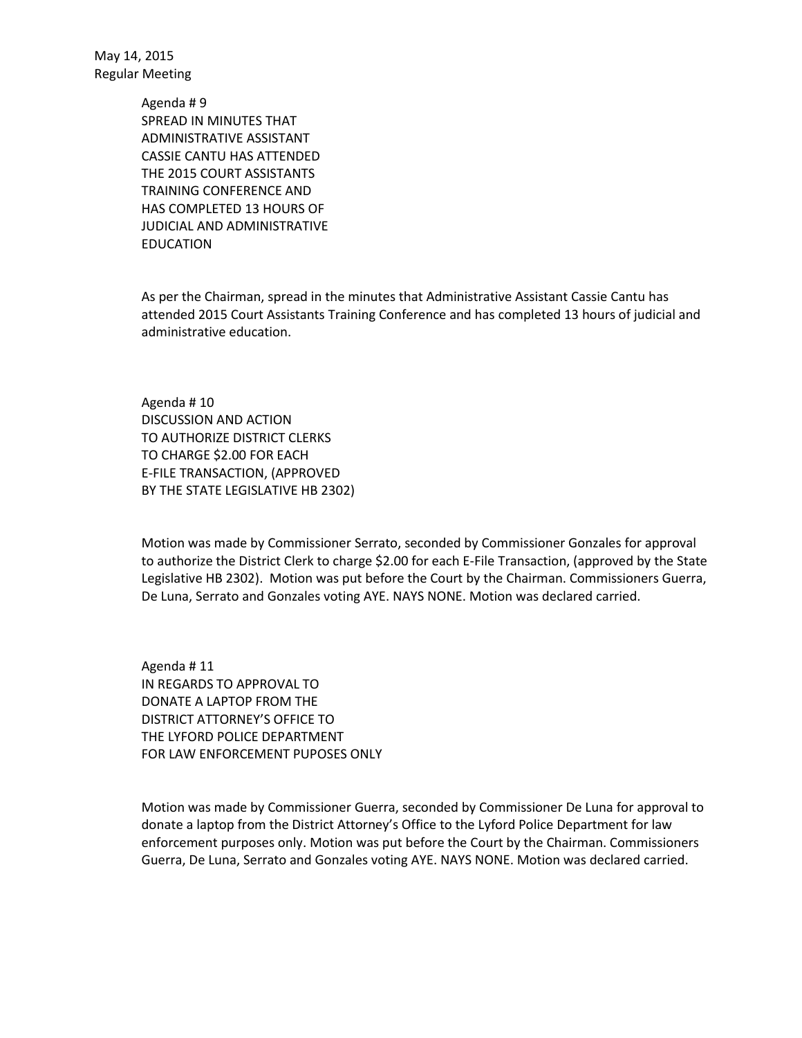> Agenda # 9 SPREAD IN MINUTES THAT ADMINISTRATIVE ASSISTANT CASSIE CANTU HAS ATTENDED THE 2015 COURT ASSISTANTS TRAINING CONFERENCE AND HAS COMPLETED 13 HOURS OF JUDICIAL AND ADMINISTRATIVE EDUCATION

As per the Chairman, spread in the minutes that Administrative Assistant Cassie Cantu has attended 2015 Court Assistants Training Conference and has completed 13 hours of judicial and administrative education.

Agenda # 10 DISCUSSION AND ACTION TO AUTHORIZE DISTRICT CLERKS TO CHARGE \$2.00 FOR EACH E-FILE TRANSACTION, (APPROVED BY THE STATE LEGISLATIVE HB 2302)

Motion was made by Commissioner Serrato, seconded by Commissioner Gonzales for approval to authorize the District Clerk to charge \$2.00 for each E-File Transaction, (approved by the State Legislative HB 2302). Motion was put before the Court by the Chairman. Commissioners Guerra, De Luna, Serrato and Gonzales voting AYE. NAYS NONE. Motion was declared carried.

Agenda # 11 IN REGARDS TO APPROVAL TO DONATE A LAPTOP FROM THE DISTRICT ATTORNEY'S OFFICE TO THE LYFORD POLICE DEPARTMENT FOR LAW ENFORCEMENT PUPOSES ONLY

Motion was made by Commissioner Guerra, seconded by Commissioner De Luna for approval to donate a laptop from the District Attorney's Office to the Lyford Police Department for law enforcement purposes only. Motion was put before the Court by the Chairman. Commissioners Guerra, De Luna, Serrato and Gonzales voting AYE. NAYS NONE. Motion was declared carried.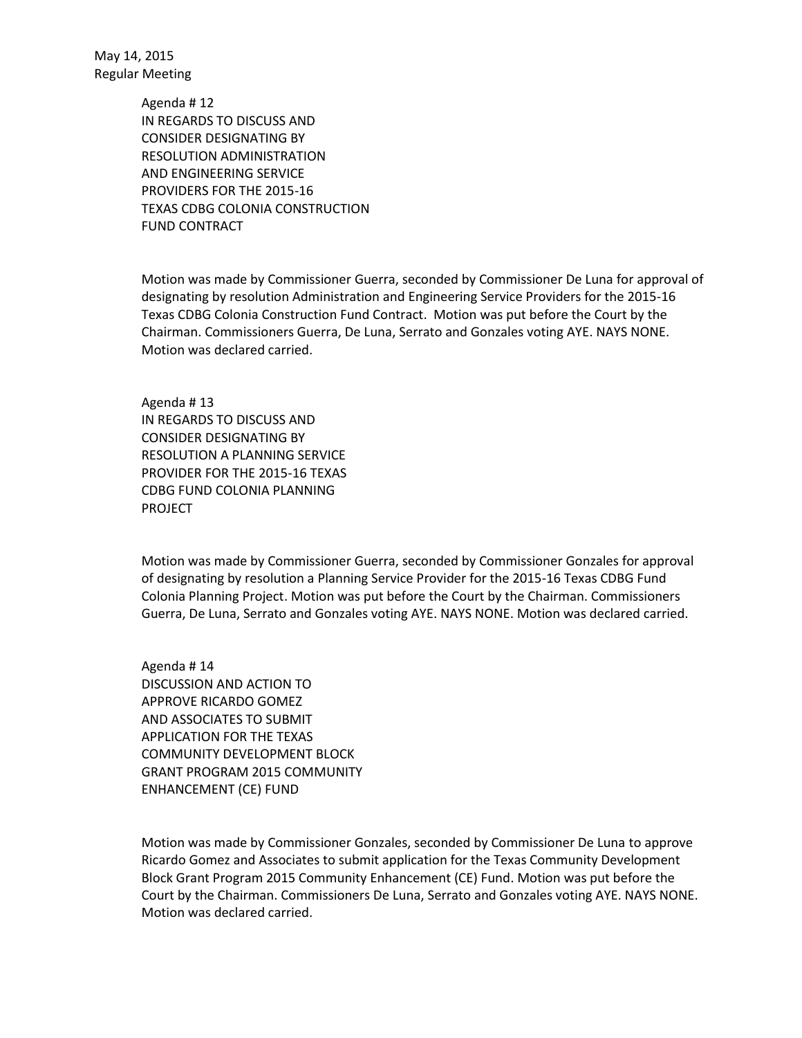> Agenda # 12 IN REGARDS TO DISCUSS AND CONSIDER DESIGNATING BY RESOLUTION ADMINISTRATION AND ENGINEERING SERVICE PROVIDERS FOR THE 2015-16 TEXAS CDBG COLONIA CONSTRUCTION FUND CONTRACT

Motion was made by Commissioner Guerra, seconded by Commissioner De Luna for approval of designating by resolution Administration and Engineering Service Providers for the 2015-16 Texas CDBG Colonia Construction Fund Contract. Motion was put before the Court by the Chairman. Commissioners Guerra, De Luna, Serrato and Gonzales voting AYE. NAYS NONE. Motion was declared carried.

Agenda # 13 IN REGARDS TO DISCUSS AND CONSIDER DESIGNATING BY RESOLUTION A PLANNING SERVICE PROVIDER FOR THE 2015-16 TEXAS CDBG FUND COLONIA PLANNING PROJECT

Motion was made by Commissioner Guerra, seconded by Commissioner Gonzales for approval of designating by resolution a Planning Service Provider for the 2015-16 Texas CDBG Fund Colonia Planning Project. Motion was put before the Court by the Chairman. Commissioners Guerra, De Luna, Serrato and Gonzales voting AYE. NAYS NONE. Motion was declared carried.

Agenda # 14 DISCUSSION AND ACTION TO APPROVE RICARDO GOMEZ AND ASSOCIATES TO SUBMIT APPLICATION FOR THE TEXAS COMMUNITY DEVELOPMENT BLOCK GRANT PROGRAM 2015 COMMUNITY ENHANCEMENT (CE) FUND

Motion was made by Commissioner Gonzales, seconded by Commissioner De Luna to approve Ricardo Gomez and Associates to submit application for the Texas Community Development Block Grant Program 2015 Community Enhancement (CE) Fund. Motion was put before the Court by the Chairman. Commissioners De Luna, Serrato and Gonzales voting AYE. NAYS NONE. Motion was declared carried.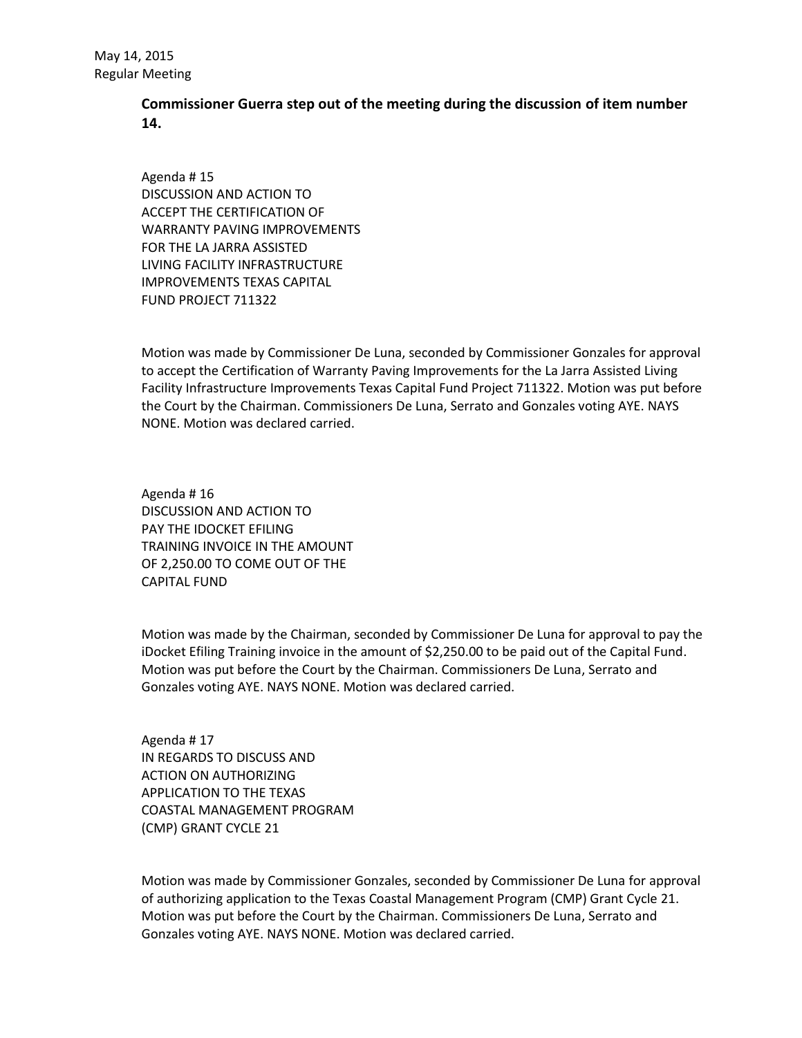## **Commissioner Guerra step out of the meeting during the discussion of item number 14.**

Agenda # 15 DISCUSSION AND ACTION TO ACCEPT THE CERTIFICATION OF WARRANTY PAVING IMPROVEMENTS FOR THE LA JARRA ASSISTED LIVING FACILITY INFRASTRUCTURE IMPROVEMENTS TEXAS CAPITAL FUND PROJECT 711322

Motion was made by Commissioner De Luna, seconded by Commissioner Gonzales for approval to accept the Certification of Warranty Paving Improvements for the La Jarra Assisted Living Facility Infrastructure Improvements Texas Capital Fund Project 711322. Motion was put before the Court by the Chairman. Commissioners De Luna, Serrato and Gonzales voting AYE. NAYS NONE. Motion was declared carried.

Agenda # 16 DISCUSSION AND ACTION TO PAY THE IDOCKET EFILING TRAINING INVOICE IN THE AMOUNT OF 2,250.00 TO COME OUT OF THE CAPITAL FUND

Motion was made by the Chairman, seconded by Commissioner De Luna for approval to pay the iDocket Efiling Training invoice in the amount of \$2,250.00 to be paid out of the Capital Fund. Motion was put before the Court by the Chairman. Commissioners De Luna, Serrato and Gonzales voting AYE. NAYS NONE. Motion was declared carried.

Agenda # 17 IN REGARDS TO DISCUSS AND ACTION ON AUTHORIZING APPLICATION TO THE TEXAS COASTAL MANAGEMENT PROGRAM (CMP) GRANT CYCLE 21

Motion was made by Commissioner Gonzales, seconded by Commissioner De Luna for approval of authorizing application to the Texas Coastal Management Program (CMP) Grant Cycle 21. Motion was put before the Court by the Chairman. Commissioners De Luna, Serrato and Gonzales voting AYE. NAYS NONE. Motion was declared carried.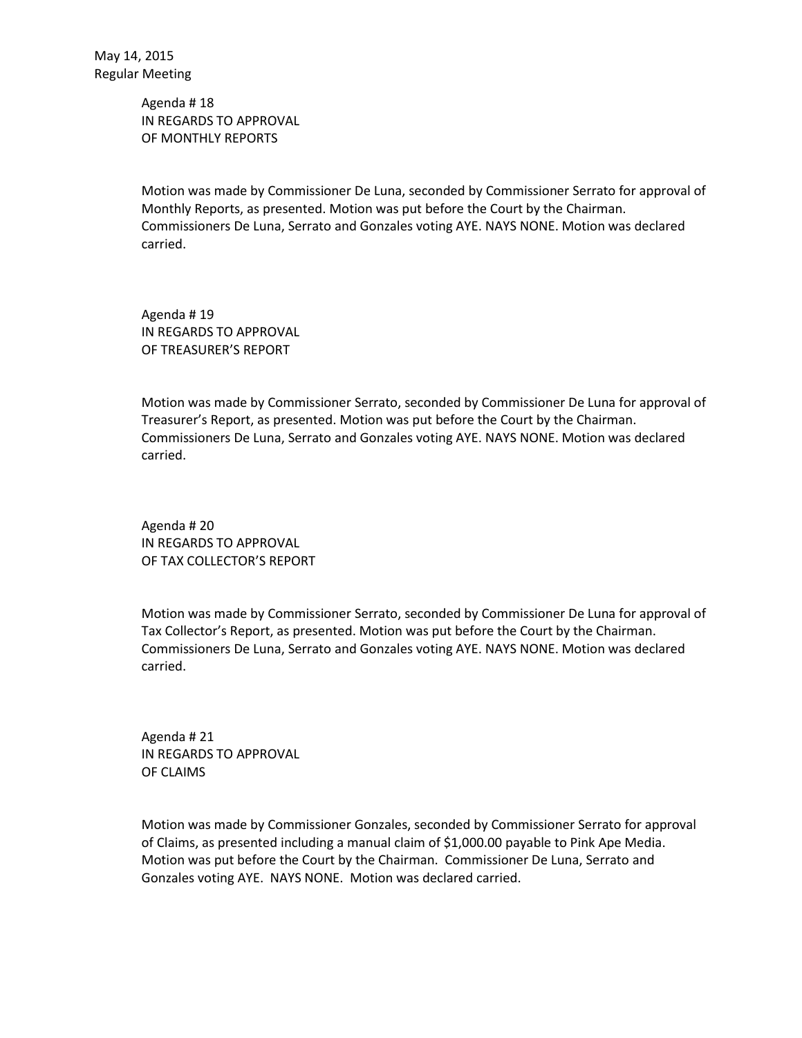Agenda # 18 IN REGARDS TO APPROVAL OF MONTHLY REPORTS

Motion was made by Commissioner De Luna, seconded by Commissioner Serrato for approval of Monthly Reports, as presented. Motion was put before the Court by the Chairman. Commissioners De Luna, Serrato and Gonzales voting AYE. NAYS NONE. Motion was declared carried.

Agenda # 19 IN REGARDS TO APPROVAL OF TREASURER'S REPORT

Motion was made by Commissioner Serrato, seconded by Commissioner De Luna for approval of Treasurer's Report, as presented. Motion was put before the Court by the Chairman. Commissioners De Luna, Serrato and Gonzales voting AYE. NAYS NONE. Motion was declared carried.

Agenda # 20 IN REGARDS TO APPROVAL OF TAX COLLECTOR'S REPORT

Motion was made by Commissioner Serrato, seconded by Commissioner De Luna for approval of Tax Collector's Report, as presented. Motion was put before the Court by the Chairman. Commissioners De Luna, Serrato and Gonzales voting AYE. NAYS NONE. Motion was declared carried.

Agenda # 21 IN REGARDS TO APPROVAL OF CLAIMS

Motion was made by Commissioner Gonzales, seconded by Commissioner Serrato for approval of Claims, as presented including a manual claim of \$1,000.00 payable to Pink Ape Media. Motion was put before the Court by the Chairman. Commissioner De Luna, Serrato and Gonzales voting AYE. NAYS NONE. Motion was declared carried.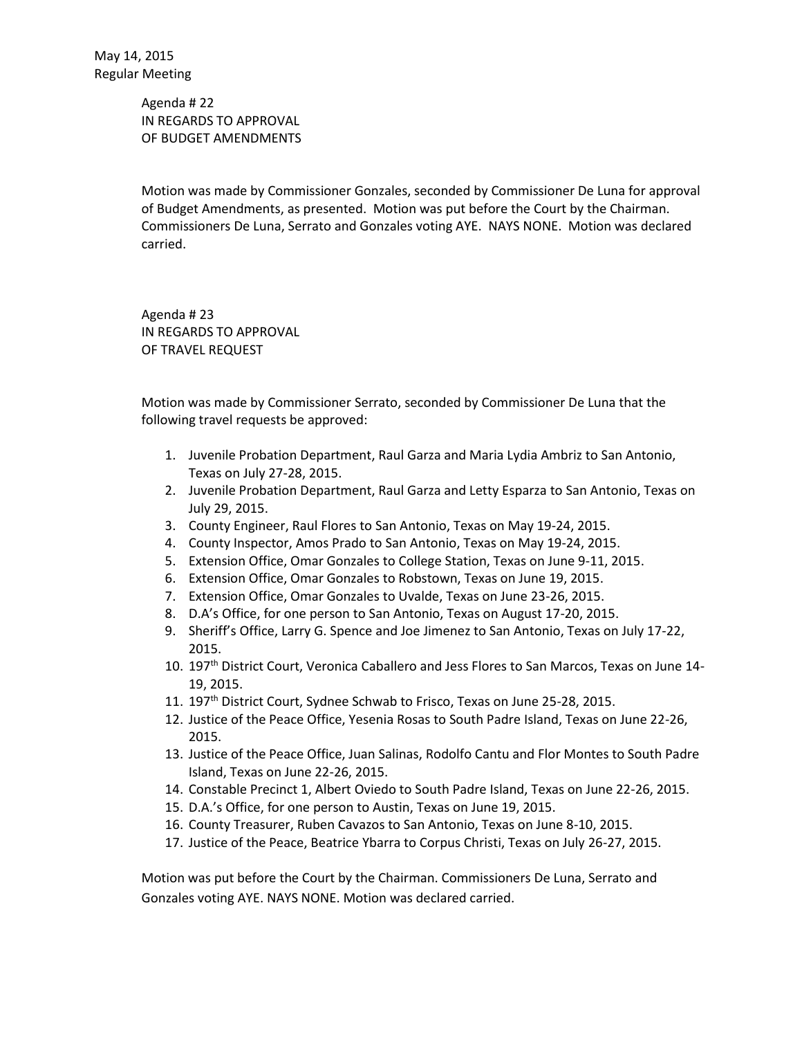Agenda # 22 IN REGARDS TO APPROVAL OF BUDGET AMENDMENTS

Motion was made by Commissioner Gonzales, seconded by Commissioner De Luna for approval of Budget Amendments, as presented. Motion was put before the Court by the Chairman. Commissioners De Luna, Serrato and Gonzales voting AYE. NAYS NONE. Motion was declared carried.

Agenda # 23 IN REGARDS TO APPROVAL OF TRAVEL REQUEST

Motion was made by Commissioner Serrato, seconded by Commissioner De Luna that the following travel requests be approved:

- 1. Juvenile Probation Department, Raul Garza and Maria Lydia Ambriz to San Antonio, Texas on July 27-28, 2015.
- 2. Juvenile Probation Department, Raul Garza and Letty Esparza to San Antonio, Texas on July 29, 2015.
- 3. County Engineer, Raul Flores to San Antonio, Texas on May 19-24, 2015.
- 4. County Inspector, Amos Prado to San Antonio, Texas on May 19-24, 2015.
- 5. Extension Office, Omar Gonzales to College Station, Texas on June 9-11, 2015.
- 6. Extension Office, Omar Gonzales to Robstown, Texas on June 19, 2015.
- 7. Extension Office, Omar Gonzales to Uvalde, Texas on June 23-26, 2015.
- 8. D.A's Office, for one person to San Antonio, Texas on August 17-20, 2015.
- 9. Sheriff's Office, Larry G. Spence and Joe Jimenez to San Antonio, Texas on July 17-22, 2015.
- 10. 197<sup>th</sup> District Court, Veronica Caballero and Jess Flores to San Marcos, Texas on June 14-19, 2015.
- 11. 197<sup>th</sup> District Court, Sydnee Schwab to Frisco, Texas on June 25-28, 2015.
- 12. Justice of the Peace Office, Yesenia Rosas to South Padre Island, Texas on June 22-26, 2015.
- 13. Justice of the Peace Office, Juan Salinas, Rodolfo Cantu and Flor Montes to South Padre Island, Texas on June 22-26, 2015.
- 14. Constable Precinct 1, Albert Oviedo to South Padre Island, Texas on June 22-26, 2015.
- 15. D.A.'s Office, for one person to Austin, Texas on June 19, 2015.
- 16. County Treasurer, Ruben Cavazos to San Antonio, Texas on June 8-10, 2015.
- 17. Justice of the Peace, Beatrice Ybarra to Corpus Christi, Texas on July 26-27, 2015.

Motion was put before the Court by the Chairman. Commissioners De Luna, Serrato and Gonzales voting AYE. NAYS NONE. Motion was declared carried.